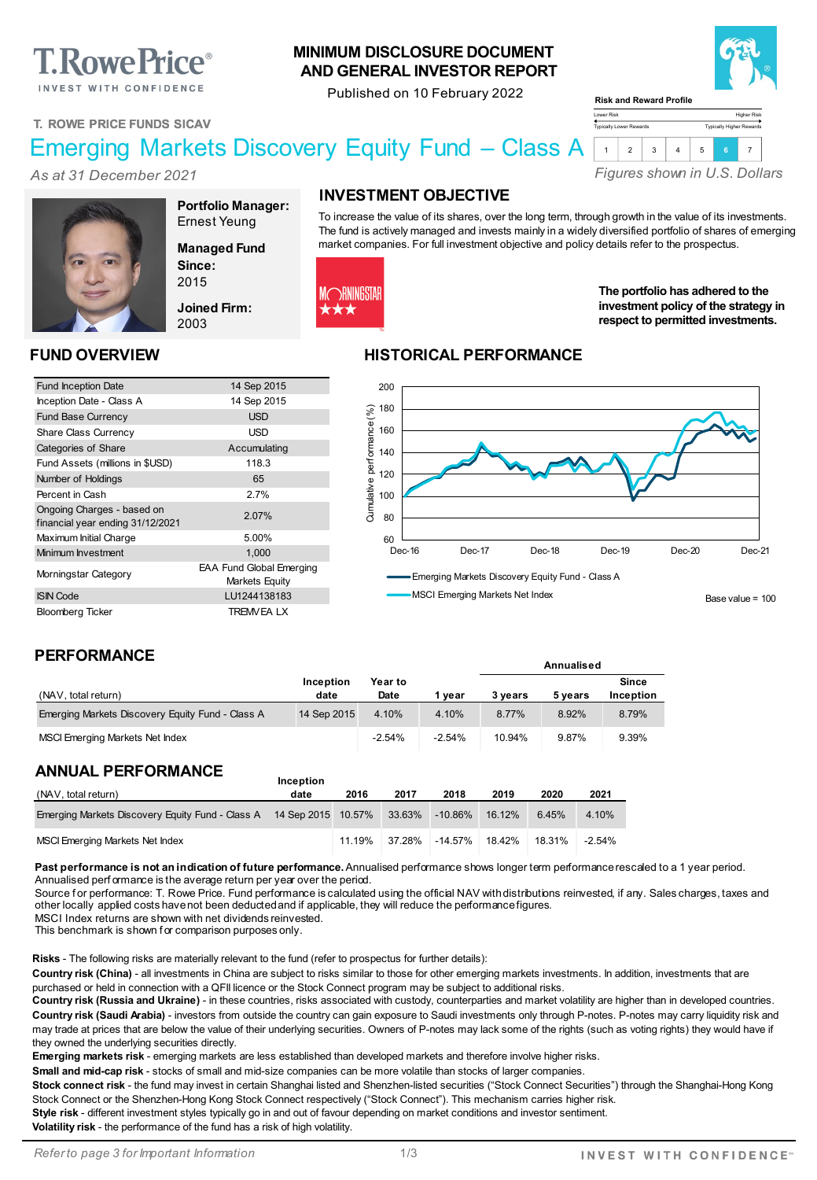# **T. Rowe Price**®

INVEST WITH CONFIDENCE

#### **MINIMUM DISCLOSURE DOCUMENT AND GENERAL INVESTOR REPORT**

Published on 10 February 2022



Higher Risk Typically Higher Rewards

**T. ROWE PRICE FUNDS SICAV**

*As at 31 December 2021*

### Emerging Markets Discovery Equity Fund – Class A

*Figures shown in U.S. Dollars* 1 2 3 4 5 **<sup>6</sup>** <sup>7</sup>



**Portfolio Manager:** Ernest Yeung

**Managed Fund Since:** 2015

**Joined Firm:** 2003

## **INVESTMENT OBJECTIVE**

To increase the value of its shares, over the long term, through growth in the value of its investments. The fund is actively managed and invests mainly in a widely diversified portfolio of shares of emerging market companies. For full investment objective and policy details refer to the prospectus.

Lower Risk Typically Lower Rewards

**Risk and Reward Profile**

**Annualised**



**The portfolio has adhered to the investment policy of the strategy in respect to permitted investments.**

#### **FUND OVERVIEW HISTORICAL PERFORMANCE**



#### **PERFORMANCE**

|                                                  | Inception   | Year to  |          |         |         | Since     |
|--------------------------------------------------|-------------|----------|----------|---------|---------|-----------|
| (NAV, total return)                              | date        | Date     | vear     | 3 vears | 5 vears | Inception |
| Emerging Markets Discovery Equity Fund - Class A | 14 Sep 2015 | 4.10%    | 4.10%    | 8.77%   | 8.92%   | 8.79%     |
| MSCI Emerging Markets Net Index                  |             | $-2.54%$ | $-2.54%$ | 10.94%  | 9.87%   | 9.39%     |

#### **ANNUAL PERFORMANCE**

| (NAV, total return)                                                        | date | 2016   | 2017   | 2018       | 2019   | 2020   | 2021     |
|----------------------------------------------------------------------------|------|--------|--------|------------|--------|--------|----------|
| Emerging Markets Discovery Equity Fund - Class A 14 Sep 2015 10.57% 33.63% |      |        |        | -10.86%    | 16.12% | 6.45%  | 4.10%    |
| MSCI Emerging Markets Net Index                                            |      | 11.19% | 37.28% | $-14.57\%$ | 18.42% | 18.31% | $-2.54%$ |

**Inception** 

Past performance is not an indication of future performance. Annualised performance shows longer term performance rescaled to a 1 year period. Annualised perf ormance is the average return per year over the period.

Source for performance: T. Rowe Price. Fund performance is calculated using the official NAV with distributions reinvested, if any. Sales charges, taxes and other locally applied costs have not been deducted and if applicable, they will reduce the performance figures.

MSCI Index returns are shown with net dividends reinvested.

This benchmark is shown f or comparison purposes only.

**Risks** - The following risks are materially relevant to the fund (refer to prospectus for further details):

Country risk (China) - all investments in China are subject to risks similar to those for other emerging markets investments. In addition, investments that are purchased or held in connection with a QFII licence or the Stock Connect program may be subject to additional risks.

**Country risk (Russia and Ukraine)** - in these countries, risks associated with custody, counterparties and market volatility are higher than in developed countries. **Country risk (Saudi Arabia)** - investors from outside the country can gain exposure to Saudi investments only through P-notes. P-notes may carry liquidity risk and may trade at prices that are below the value of their underlying securities. Owners of P-notes may lack some of the rights (such as voting rights) they would have if they owned the underlying securities directly.

**Emerging markets risk** - emerging markets are less established than developed markets and therefore involve higher risks.

**Small and mid-cap risk** - stocks of small and mid-size companies can be more volatile than stocks of larger companies.

**Stock connect risk** - the fund may invest in certain Shanghai listed and Shenzhen-listed securities ("Stock Connect Securities") through the Shanghai-Hong Kong Stock Connect or the Shenzhen-Hong Kong Stock Connect respectively ("Stock Connect"). This mechanism carries higher risk.

**Style risk** - different investment styles typically go in and out of favour depending on market conditions and investor sentiment.

**Volatility risk** - the performance of the fund has a risk of high volatility.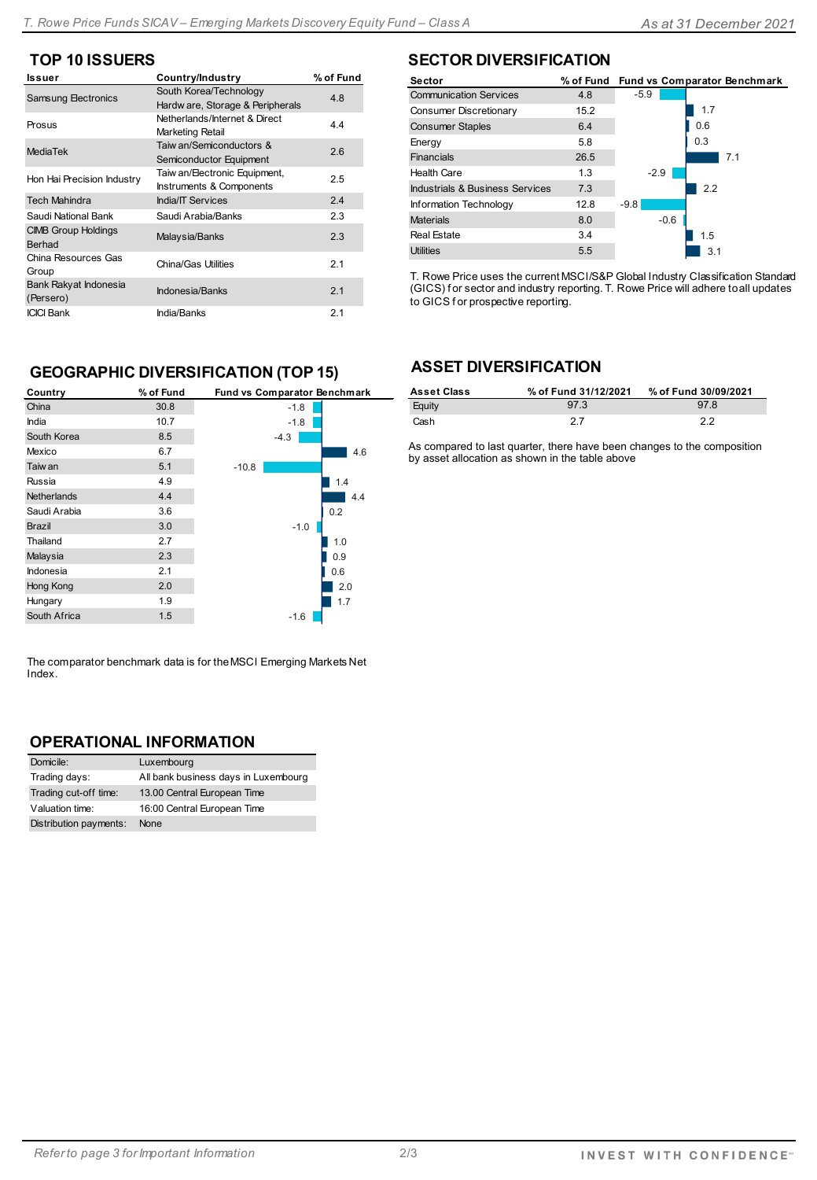#### **TOP 10 ISSUERS**

| <b>Issuer</b>                        | Country/Industry                                           | % of Fund |
|--------------------------------------|------------------------------------------------------------|-----------|
| <b>Samsung Electronics</b>           | South Korea/Technology<br>Hardw are, Storage & Peripherals | 4.8       |
| Prosus                               | Netherlands/Internet & Direct<br>Marketing Retail          | 4.4       |
| <b>MediaTek</b>                      | Taiw an/Semiconductors &<br>Semiconductor Equipment        | 2.6       |
| Hon Hai Precision Industry           | Taiw an/Electronic Equipment,<br>Instruments & Components  | 2.5       |
| <b>Tech Mahindra</b>                 | <b>India/IT Services</b>                                   | 2.4       |
| Saudi National Bank                  | Saudi Arabia/Banks                                         | 2.3       |
| <b>CIMB Group Holdings</b><br>Berhad | Malaysia/Banks                                             | 2.3       |
| China Resources Gas<br>Group         | China/Gas Utilities                                        | 2.1       |
| Bank Rakyat Indonesia<br>(Persero)   | Indonesia/Banks                                            | 2.1       |
| <b>ICICI Bank</b>                    | India/Banks                                                | 2.1       |

#### **SECTOR DIVERSIFICATION**

| <b>Sector</b>                   |      |        | % of Fund Fund vs Comparator Benchmark |
|---------------------------------|------|--------|----------------------------------------|
| <b>Communication Services</b>   | 4.8  | $-5.9$ |                                        |
| Consumer Discretionary          | 15.2 |        | 1.7                                    |
| <b>Consumer Staples</b>         | 6.4  |        | 0.6                                    |
| Energy                          | 5.8  |        | 0.3                                    |
| <b>Financials</b>               | 26.5 |        | 7.1                                    |
| <b>Health Care</b>              | 1.3  | $-2.9$ |                                        |
| Industrials & Business Services | 7.3  |        | 2.2                                    |
| <b>Information Technology</b>   | 12.8 | $-9.8$ |                                        |
| <b>Materials</b>                | 8.0  | $-0.6$ |                                        |
| Real Estate                     | 3.4  |        | 1.5                                    |
| <b>Utilities</b>                | 5.5  |        | 3.1                                    |

T. Rowe Price uses the current MSCI/S&P Global Industry Classification Standard (GICS) for sector and industry reporting. T. Rowe Price will adhere to all updates to GICS f or prospective reporting.

#### **GEOGRAPHIC DIVERSIFICATION (TOP 15)**

| Country            | % of Fund | Fund vs Comparator Benchmark |
|--------------------|-----------|------------------------------|
| China              | 30.8      | $-1.8$                       |
| India              | 10.7      | $-1.8$                       |
| South Korea        | 8.5       | $-4.3$                       |
| Mexico             | 6.7       | 4.6                          |
| Taiw an            | 5.1       | $-10.8$                      |
| Russia             | 4.9       | 1.4                          |
| <b>Netherlands</b> | 4.4       | 4.4                          |
| Saudi Arabia       | 3.6       | 0.2                          |
| <b>Brazil</b>      | 3.0       | $-1.0$                       |
| Thailand           | 2.7       | 1.0                          |
| Malaysia           | 2.3       | 0.9                          |
| Indonesia          | 2.1       | 0.6                          |
| Hong Kong          | 2.0       | 2.0                          |
| Hungary            | 1.9       | 1.7                          |
| South Africa       | 1.5       | $-1.6$                       |

The comparator benchmark data is for the MSCI Emerging Markets Net Index.

#### **OPERATIONAL INFORMATION**

| Domicile:              | Luxembourg                           |
|------------------------|--------------------------------------|
| Trading days:          | All bank business days in Luxembourg |
| Trading cut-off time:  | 13.00 Central European Time          |
| Valuation time:        | 16:00 Central European Time          |
| Distribution payments: | None                                 |

#### **ASSET DIVERSIFICATION**

| <b>Asset Class</b> | % of Fund 31/12/2021 | % of Fund 30/09/2021 |
|--------------------|----------------------|----------------------|
| Equity             | 97.3                 | 978                  |
| Cash               | 27                   | っっ                   |

As compared to last quarter, there have been changes to the composition by asset allocation as shown in the table above